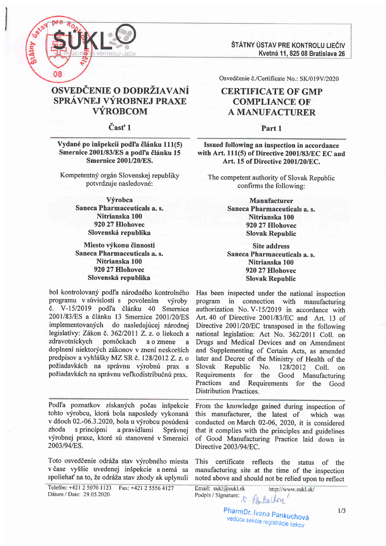

# OSVEDČENIE O DODRŽIAVANÍ SPRÁVNEJ VÝROBNEJ PRAXE **VÝROBCOM**

## Cast'1

Vydané po inšpekcii podľa článku 111(5) Smernice 2001/83/ES a podľa článku 15 Smernice 2001/20/ES.

Kompetentný orgán Slovenskej republiky potvrdzuje nasledovné:

> Výrobca Saneca Pharmaceuticals a. s. Nitrianska 100 92027 Hlohovec Slovenská republika

> Miesto výkonu činnosti Saneca Pharmaceuticals a. s. Nitrianska 100 92027 Hlohovec Slovenská republika

bol kontrolovaný podľa národného kontrolného programu v súvislosti s povolením výroby č. V-15/2019 podľa článku 40 Smernice 2001/83/ES a článku 13 Smernice 2001/20/ES implementovaných do nasledujúcej národnej legislatívy: Zákon č. 362/2011 Z. z. o liekoch a zdravotníckych pomôckach a o zmene a doplnení niektorých zákonov v znení neskorších predpisov a vyhlášky MZ SR č. 128/2012 Z. z. o požiadavkách na správnu výrobnú prax a požiadavkách na správnu veľkodistribučnú prax.

Podľa poznatkov získaných počas inšpekcie tohto výrobcu, ktorá bola naposledy vykonaná v dňoch 02.-06.3.2020, bola u výrobcu posúdená zhoda s princípmi a pravidlami Správnej výrobnej praxe, ktoré sú stanovené v Smernici 2003/94/ES.

Toto osvedčenie odráža stav výrobného miesta v čase vyššie uvedenej inšpekcie a nemá sa spoliehať na to, že odráža stav zhody ak uplynuli

Telefón: +421 2 5070 1123 Fax: +421 2 5556 4127 Ddtum / Date: 29.05.2020

ŠTÁTNY ÚSTAV PRE KONTROLU LIEČIV Kvetná 11, 825 08 Bratislava 26

Osvedčenie č./Certificate No.: SK/019V/2020

## **CERTIFICATE OF GMP** COMPLIANCE OF A MANUFACTURER

Part I

Issued following an inspection in accordance with Art. 111(5) of Directive 2001/83/EC EC and Art. 15 of Directive 2001/20/EC.

The competent authority of Slovak Republic confirms the following:

> Manufacturer Saneca Pharmaceuticals a. s. Nitrianska 100 920 27 Hlohovec Slovak Republic

> Site address Saneca Pharmaceuticals a. s. Nitrianska 100 920 27 Iflohovec Slovak Republic

Has been inspected under the national inspection program in connection with manufacturing authorization No. V-15/2019 in accordance with Art.40 of Directive 2001/83/EC and Art. 13 of Directive 2001/20/EC transposed in the following national legislation: Act No. 362/2011 Coll. on Drugs and Medical Devices and on Amendment and Supplementing of Certain Acts, as amended later and Decree of the Ministry of Health of the<br>Slovak Republic No. 128/2012 Coll. on Slovak Republic No. 128/2012 Coll. on<br>Requirements for the Good Manufacturing Requirements for the<br>Practices and Requiren and Requirements for the Good Distribution Practices.

From the knowledge gained during inspection of this manufacturer, the latest of which was conducted on March 02-06, 2020, it is considered that it complies with the principles and guidelines of Good Manufacturing Practice laid down in Directive 2003/94/EC.

This certificate reflects the status of the manufacturing site at the time of the inspection noted above and should not be relied upon to reflect

Email: sukl@sukl.sk http://www.sukl.sk/ Podpis / Signature:  $\sqrt{2}$ Culhor

PharmDr. Ivana Pankuchová<br>vedúca sekcie registrácie liekov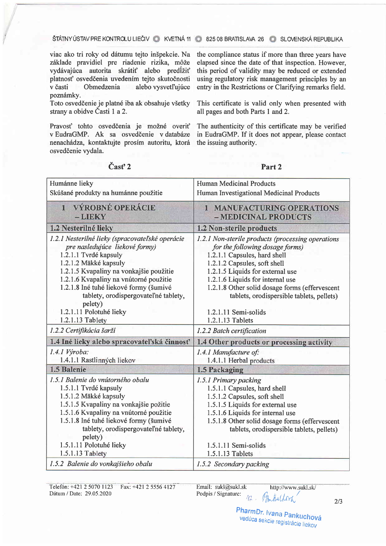#### ŠTÁTNY ÚSTAV PRE KONTROLU LIEČIV O KVETNÁ 11 0 825 08 BRATISLAVA 26 O SLOVENSKÁ REPUBLIKA

viac ako tri roky od dátumu tejto inšpekcie. Na základe pravidiel pre riadenie rizika, môže vydávajúca autorita skrátiť alebo predĺžiť platnosť osvedčenia uvedením tejto skutočnosti v časti Obmedzenia alebo vysvetľujúce poznámky.

Toto osvedčenie je platné iba ak obsahuje všetky strany a obidve Časti 1 a 2.

Pravosť tohto osvedčenia je možné overiť v EudraGMP. Ak sa osvedčenie v databáze nenachádza, kontaktujte prosím autoritu, ktorá osvedčenie vydala.

the compliance status if more than three vears have elapsed since the date of that inspection. However, this period of validity may be reduced or extended using regulatory risk management principles by an entry in the Restrictions or Clarifying remarks field.

This certificate is valid only when presented with all pages and both Parts 1 and 2.

The authenticity of this certificate may be verified in EudraGMP. If it does not appear, please contact the issuing authority.

### $\text{Čast}' 2$

#### Part 2

| Humánne lieky                                                                                                                                                                                                                                                                                                                                                        | <b>Human Medicinal Products</b>                                                                                                                                                                                                                                                                                                                                         |
|----------------------------------------------------------------------------------------------------------------------------------------------------------------------------------------------------------------------------------------------------------------------------------------------------------------------------------------------------------------------|-------------------------------------------------------------------------------------------------------------------------------------------------------------------------------------------------------------------------------------------------------------------------------------------------------------------------------------------------------------------------|
| Skúšané produkty na humánne použitie                                                                                                                                                                                                                                                                                                                                 | Human Investigational Medicinal Products                                                                                                                                                                                                                                                                                                                                |
| <b>VÝROBNÉ OPERÁCIE</b><br>1<br>-LIEKY                                                                                                                                                                                                                                                                                                                               | <b>1 MANUFACTURING OPERATIONS</b><br>- MEDICINAL PRODUCTS                                                                                                                                                                                                                                                                                                               |
| 1.2 Nesterilné lieky                                                                                                                                                                                                                                                                                                                                                 | 1.2 Non-sterile products                                                                                                                                                                                                                                                                                                                                                |
| 1.2.1 Nesterilné lieky (spracovateľské operácie<br>pre nasledujúce liekové formy)<br>1.2.1.1 Tvrdé kapsuly<br>1.2.1.2 Mäkké kapsuly<br>1.2.1.5 Kvapaliny na vonkajšie použitie<br>1.2.1.6 Kvapaliny na vnútorné použitie<br>1.2.1.8 Iné tuhé liekové formy (šumivé<br>tablety, orodispergovateľné tablety,<br>pelety)<br>1.2.1.11 Polotuhé lieky<br>1.2.1.13 Tablety | 1.2.1 Non-sterile products (processing operations<br>for the following dosage forms)<br>1.2.1.1 Capsules, hard shell<br>1.2.1.2 Capsules, soft shell<br>1.2.1.5 Liquids for external use<br>1.2.1.6 Liquids for internal use<br>1.2.1.8 Other solid dosage forms (effervescent<br>tablets, orodispersible tablets, pellets)<br>1.2.1.11 Semi-solids<br>1.2.1.13 Tablets |
| 1.2.2 Certifikácia šarží                                                                                                                                                                                                                                                                                                                                             | 1.2.2 Batch certification                                                                                                                                                                                                                                                                                                                                               |
| 1.4 Iné lieky alebo spracovateľská činnosť                                                                                                                                                                                                                                                                                                                           | 1.4 Other products or processing activity                                                                                                                                                                                                                                                                                                                               |
| 1.4.1 Výroba:<br>1.4.1.1 Rastlinných liekov<br>1.5 Balenie                                                                                                                                                                                                                                                                                                           | 1.4.1 Manufacture of:<br>1.4.1.1 Herbal products<br>1.5 Packaging                                                                                                                                                                                                                                                                                                       |
| 1.5.1 Balenie do vnútorného obalu<br>1.5.1.1 Tvrdé kapsuly<br>1.5.1.2 Mäkké kapsuly<br>1.5.1.5 Kvapaliny na vonkajšie požitie<br>1.5.1.6 Kvapaliny na vnútorné použitie<br>1.5.1.8 Iné tuhé liekové formy (šumivé<br>tablety, orodispergovateľné tablety,<br>pelety)<br>1.5.1.11 Polotuhé lieky<br>1.5.1.13 Tablety                                                  | 1.5.1 Primary packing<br>1.5.1.1 Capsules, hard shell<br>1.5.1.2 Capsules, soft shell<br>1.5.1.5 Liquids for external use<br>1.5.1.6 Liquids for internal use<br>1.5.1.8 Other solid dosage forms (effervescent<br>tablets, orodispersible tablets, pellets)<br>1.5.1.11 Semi-solids                                                                                    |
|                                                                                                                                                                                                                                                                                                                                                                      | 1.5.1.13 Tablets                                                                                                                                                                                                                                                                                                                                                        |

Telefón: +421 2 5070 1123 Fax: +421 2 5556 4127 Dátum / Date: 29.05.2020

Email: sukl@sukl.sk Podpis / Signature:  $\overline{M}$ 

http://www.sukl.sk/ Pam Hulford

PharmDr. Ivana Pankuchová vedúca sekcie registrácie liekov